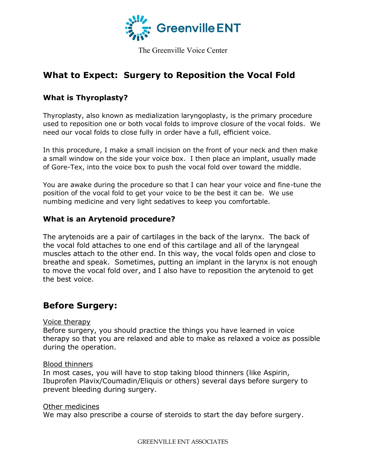

The Greenville Voice Center

# **What to Expect: Surgery to Reposition the Vocal Fold**

### **What is Thyroplasty?**

Thyroplasty, also known as medialization laryngoplasty, is the primary procedure used to reposition one or both vocal folds to improve closure of the vocal folds. We need our vocal folds to close fully in order have a full, efficient voice.

In this procedure, I make a small incision on the front of your neck and then make a small window on the side your voice box. I then place an implant, usually made of Gore-Tex, into the voice box to push the vocal fold over toward the middle.

You are awake during the procedure so that I can hear your voice and fine-tune the position of the vocal fold to get your voice to be the best it can be. We use numbing medicine and very light sedatives to keep you comfortable.

### **What is an Arytenoid procedure?**

The arytenoids are a pair of cartilages in the back of the larynx. The back of the vocal fold attaches to one end of this cartilage and all of the laryngeal muscles attach to the other end. In this way, the vocal folds open and close to breathe and speak. Sometimes, putting an implant in the larynx is not enough to move the vocal fold over, and I also have to reposition the arytenoid to get the best voice.

# **Before Surgery:**

#### Voice therapy

Before surgery, you should practice the things you have learned in voice therapy so that you are relaxed and able to make as relaxed a voice as possible during the operation.

#### Blood thinners

In most cases, you will have to stop taking blood thinners (like Aspirin, Ibuprofen Plavix/Coumadin/Eliquis or others) several days before surgery to prevent bleeding during surgery.

#### Other medicines

We may also prescribe a course of steroids to start the day before surgery.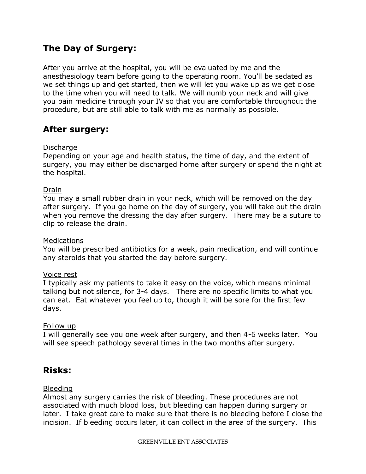# **The Day of Surgery:**

After you arrive at the hospital, you will be evaluated by me and the anesthesiology team before going to the operating room. You'll be sedated as we set things up and get started, then we will let you wake up as we get close to the time when you will need to talk. We will numb your neck and will give you pain medicine through your IV so that you are comfortable throughout the procedure, but are still able to talk with me as normally as possible.

# **After surgery:**

#### **Discharge**

Depending on your age and health status, the time of day, and the extent of surgery, you may either be discharged home after surgery or spend the night at the hospital.

#### Drain

You may a small rubber drain in your neck, which will be removed on the day after surgery. If you go home on the day of surgery, you will take out the drain when you remove the dressing the day after surgery. There may be a suture to clip to release the drain.

#### Medications

You will be prescribed antibiotics for a week, pain medication, and will continue any steroids that you started the day before surgery.

#### Voice rest

I typically ask my patients to take it easy on the voice, which means minimal talking but not silence, for 3-4 days. There are no specific limits to what you can eat. Eat whatever you feel up to, though it will be sore for the first few days.

#### Follow up

I will generally see you one week after surgery, and then 4-6 weeks later. You will see speech pathology several times in the two months after surgery.

## **Risks:**

#### Bleeding

Almost any surgery carries the risk of bleeding. These procedures are not associated with much blood loss, but bleeding can happen during surgery or later. I take great care to make sure that there is no bleeding before I close the incision. If bleeding occurs later, it can collect in the area of the surgery. This